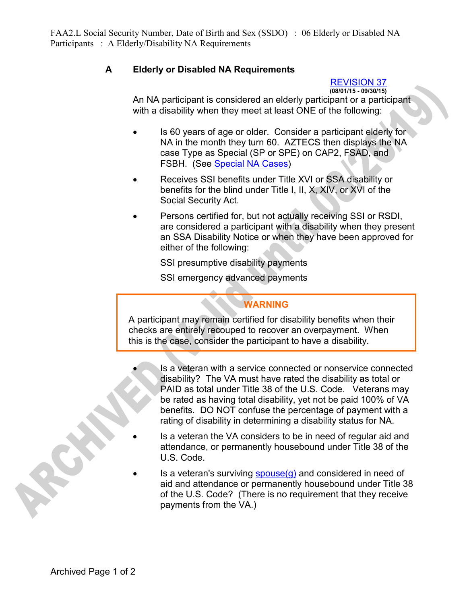## **A Elderly or Disabled NA Requirements**

## REVISION 37

**(08/01/15 - 09/30/15)**

An NA participant is considered an elderly participant or a participant with a disability when they meet at least ONE of the following:

- Is 60 years of age or older. Consider a participant elderly for NA in the month they turn 60. AZTECS then displays the NA case Type as Special (SP or SPE) on CAP2, FSAD, and FSBH. (See Special NA Cases)
- Receives SSI benefits under Title XVI or SSA disability or benefits for the blind under Title I, II, X, XIV, or XVI of the Social Security Act.
- Persons certified for, but not actually receiving SSI or RSDI, are considered a participant with a disability when they present an SSA Disability Notice or when they have been approved for either of the following:

SSI presumptive disability payments

SSI emergency advanced payments

## **WARNING**

A participant may remain certified for disability benefits when their checks are entirely recouped to recover an overpayment. When this is the case, consider the participant to have a disability.

- Is a veteran with a service connected or nonservice connected disability? The VA must have rated the disability as total or PAID as total under Title 38 of the U.S. Code. Veterans may be rated as having total disability, yet not be paid 100% of VA benefits. DO NOT confuse the percentage of payment with a rating of disability in determining a disability status for NA.
- Is a veteran the VA considers to be in need of regular aid and attendance, or permanently housebound under Title 38 of the U.S. Code.
- Is a veteran's surviving  $space(q)$  and considered in need of aid and attendance or permanently housebound under Title 38 of the U.S. Code? (There is no requirement that they receive payments from the VA.)